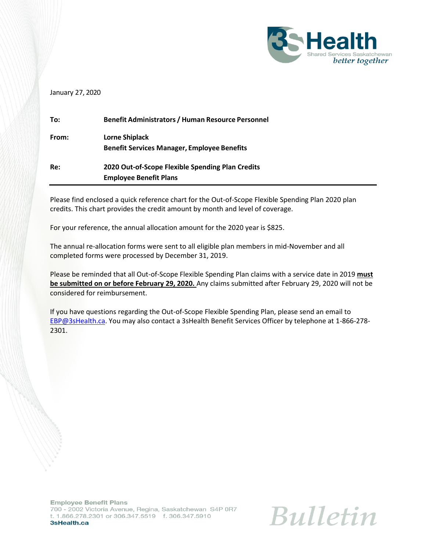

#### January 27, 2020

| To:   | <b>Benefit Administrators / Human Resource Personnel</b> |
|-------|----------------------------------------------------------|
| From: | Lorne Shiplack                                           |
|       | <b>Benefit Services Manager, Employee Benefits</b>       |
| Re:   | 2020 Out-of-Scope Flexible Spending Plan Credits         |
|       | <b>Employee Benefit Plans</b>                            |

Please find enclosed a quick reference chart for the Out-of-Scope Flexible Spending Plan 2020 plan credits. This chart provides the credit amount by month and level of coverage.

For your reference, the annual allocation amount for the 2020 year is \$825.

The annual re-allocation forms were sent to all eligible plan members in mid-November and all completed forms were processed by December 31, 2019.

Please be reminded that all Out-of-Scope Flexible Spending Plan claims with a service date in 2019 **must be submitted on or before February 29, 2020.** Any claims submitted after February 29, 2020 will not be considered for reimbursement.

If you have questions regarding the Out-of-Scope Flexible Spending Plan, please send an email to [EBP@3sHealth.ca.](mailto:EBP@3sHealth.ca) You may also contact a 3sHealth Benefit Services Officer by telephone at 1-866-278- 2301.

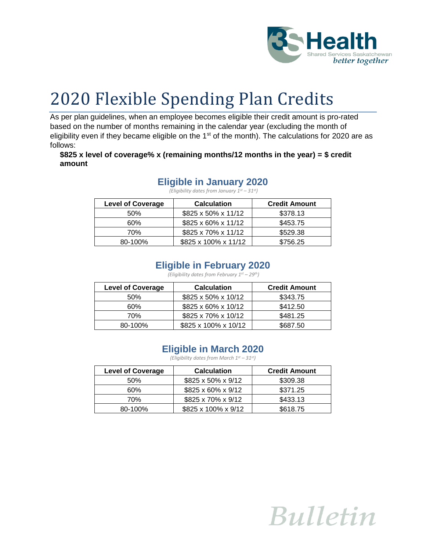

# 2020 Flexible Spending Plan Credits

As per plan guidelines, when an employee becomes eligible their credit amount is pro-rated based on the number of months remaining in the calendar year (excluding the month of eligibility even if they became eligible on the  $1<sup>st</sup>$  of the month). The calculations for 2020 are as follows:

#### **\$825 x level of coverage% x (remaining months/12 months in the year) = \$ credit amount**

#### **Eligible in January 2020**

*(Eligibility dates from January 1st – 31st)*

| <b>Level of Coverage</b> | <b>Calculation</b>   | <b>Credit Amount</b> |
|--------------------------|----------------------|----------------------|
| 50%                      | \$825 x 50% x 11/12  | \$378.13             |
| 60%                      | \$825 x 60% x 11/12  | \$453.75             |
| 70%                      | \$825 x 70% x 11/12  | \$529.38             |
| 80-100%                  | \$825 x 100% x 11/12 | \$756.25             |

#### **Eligible in February 2020**

*(Eligibility dates from February 1st – 29 th)*

| <b>Level of Coverage</b> | <b>Calculation</b>   | <b>Credit Amount</b> |
|--------------------------|----------------------|----------------------|
| 50%                      | \$825 x 50% x 10/12  | \$343.75             |
| 60%                      | \$825 x 60% x 10/12  | \$412.50             |
| 70%                      | \$825 x 70% x 10/12  | \$481.25             |
| 80-100%                  | \$825 x 100% x 10/12 | \$687.50             |

#### **Eligible in March 2020**

*(Eligibility dates from March 1st – 31st)*

| <b>Level of Coverage</b> | <b>Calculation</b>  | <b>Credit Amount</b> |
|--------------------------|---------------------|----------------------|
| 50%                      | \$825 x 50% x 9/12  | \$309.38             |
| 60%                      | \$825 x 60% x 9/12  | \$371.25             |
| 70%                      | \$825 x 70% x 9/12  | \$433.13             |
| 80-100%                  | \$825 x 100% x 9/12 | \$618.75             |

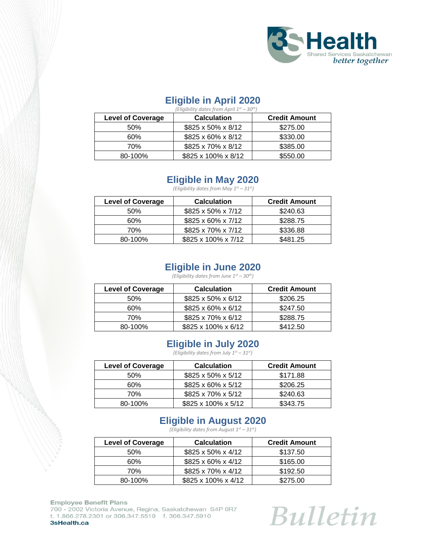

#### **Eligible in April 2020**

| (Eligibility dates from April $1^{st}$ – 30 <sup>th</sup> ) |  |  |
|-------------------------------------------------------------|--|--|
|                                                             |  |  |

| <b>Level of Coverage</b> | <b>Calculation</b>  | <b>Credit Amount</b> |
|--------------------------|---------------------|----------------------|
| 50%                      | \$825 x 50% x 8/12  | \$275.00             |
| 60%                      | \$825 x 60% x 8/12  | \$330.00             |
| 70%                      | \$825 x 70% x 8/12  | \$385.00             |
| 80-100%                  | \$825 x 100% x 8/12 | \$550.00             |

## **Eligible in May 2020**

*(Eligibility dates from May 1st – 31st)*

| <b>Level of Coverage</b> | <b>Calculation</b>  | <b>Credit Amount</b> |
|--------------------------|---------------------|----------------------|
| .50%                     | \$825 x 50% x 7/12  | \$240.63             |
| 60%                      | \$825 x 60% x 7/12  | \$288.75             |
| 70%                      | \$825 x 70% x 7/12  | \$336.88             |
| 80-100%                  | \$825 x 100% x 7/12 | \$481.25             |

#### **Eligible in June 2020**

*(Eligibility dates from June 1st – 30th)*

| <b>Level of Coverage</b> | <b>Calculation</b>  | <b>Credit Amount</b> |
|--------------------------|---------------------|----------------------|
| 50%                      | \$825 x 50% x 6/12  | \$206.25             |
| 60%                      | \$825 x 60% x 6/12  | \$247.50             |
| 70%                      | \$825 x 70% x 6/12  | \$288.75             |
| 80-100%                  | \$825 x 100% x 6/12 | \$412.50             |

## **Eligible in July 2020**

*(Eligibility dates from July 1st – 31st)*

| <b>Level of Coverage</b> | <b>Calculation</b>             | <b>Credit Amount</b> |
|--------------------------|--------------------------------|----------------------|
| 50%                      | $$825 \times 50\% \times 5/12$ | \$171.88             |
| 60%                      | \$825 x 60% x 5/12             | \$206.25             |
| 70%                      | \$825 x 70% x 5/12             | \$240.63             |
| 80-100%                  | \$825 x 100% x 5/12            | \$343.75             |

# **Eligible in August 2020**

*(Eligibility dates from August 1st – 31st)*

| <b>Level of Coverage</b> | <b>Calculation</b>  | <b>Credit Amount</b> |
|--------------------------|---------------------|----------------------|
| 50%                      | \$825 x 50% x 4/12  | \$137.50             |
| 60%                      | \$825 x 60% x 4/12  | \$165.00             |
| 70%                      | \$825 x 70% x 4/12  | \$192.50             |
| 80-100%                  | \$825 x 100% x 4/12 | \$275.00             |